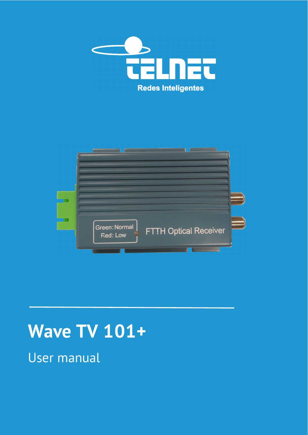



# **Wave TV 101+**

User manual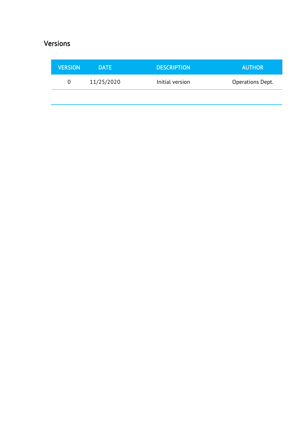### Versions

| <b>VERSION</b> | <b>DATE</b> | <b>DESCRIPTION</b> | <b>AUTHOR</b>    |
|----------------|-------------|--------------------|------------------|
| $\Omega$       | 11/25/2020  | Initial version    | Operations Dept. |
|                |             |                    |                  |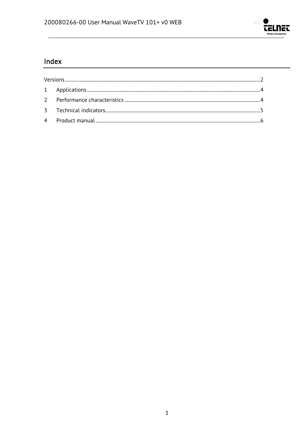

### Index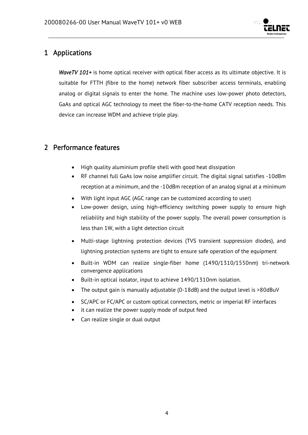

### 1 Applications

*WaveTV 101+* is home optical receiver with optical fiber access as its ultimate objective. It is suitable for FTTH (fibre to the home) network fiber subscriber access terminals, enabling analog or digital signals to enter the home. The machine uses low-power photo detectors, GaAs and optical AGC technology to meet the fiber-to-the-home CATV reception needs. This device can increase WDM and achieve triple play.

### 2 Performance features

- High quality aluminium profile shell with good heat dissipation
- RF channel full GaAs low noise amplifier circuit. The digital signal satisfies -10dBm reception at a minimum, and the -10dBm reception of an analog signal at a minimum
- With light input AGC (AGC range can be customized according to user)
- Low-power design, using high-efficiency switching power supply to ensure high reliability and high stability of the power supply. The overall power consumption is less than 1W, with a light detection circuit
- Multi-stage lightning protection devices (TVS transient suppression diodes), and lightning protection systems are tight to ensure safe operation of the equipment
- Built-in WDM can realize single-fiber home (1490/1310/1550nm) tri-network convergence applications
- Built-in optical isolator, input to achieve 1490/1310nm isolation.
- The output gain is manually adjustable (0-18dB) and the output level is >80dBuV
- SC/APC or FC/APC or custom optical connectors, metric or imperial RF interfaces
- it can realize the power supply mode of output feed
- Can realize single or dual output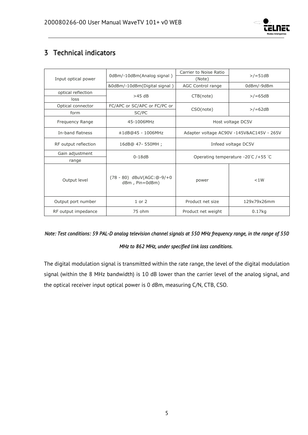

### 3 Technical indicators

|                      | 0dBm/-10dBm(Analog signal)                  | Carrier to Noise Ratio                    | $>$ /=51dB  |  |
|----------------------|---------------------------------------------|-------------------------------------------|-------------|--|
| Input optical power  |                                             | (Note)                                    |             |  |
|                      | &0dBm/-10dBm(Digital signal)                | AGC Control range                         | 0dBm/-9dBm  |  |
| optical reflection   | $>45$ dB                                    | CTB(note)                                 | $>$ /=65dB  |  |
| loss                 |                                             |                                           |             |  |
| Optical connector    | FC/APC or SC/APC or FC/PC or                |                                           | $>$ /=62dB  |  |
| form                 | SC/PC                                       | CSO(note)                                 |             |  |
| Frequency Range      | 45-1006MHz                                  | Host voltage DC5V                         |             |  |
| In-band flatness     | $±1dB@45 - 1006MHz$                         | Adapter voltage AC90V -145V&AC145V - 265V |             |  |
| RF output reflection | 16dB@ 47- 550MH;                            | Infeed voltage DC5V                       |             |  |
| Gain adjustment      |                                             | Operating temperature -20℃ /+55 ℃         |             |  |
| range                | $0-18dB$                                    |                                           |             |  |
| Output level         | (78 - 80) dBuV(AGC:@-9/+0<br>dBm, Pin=0dBm) | power                                     | < 1W        |  |
| Output port number   | $1$ or $2$                                  | Product net size                          | 129x79x26mm |  |
| RF output impedance  | 75 ohm                                      | Product net weight                        | $0.17$ kg   |  |

## *Note: Test conditions: 59 PAL-D analog television channel signals at 550 MHz frequency range, in the range of 550*

#### *MHz to 862 MHz, under specified link loss conditions.*

The digital modulation signal is transmitted within the rate range, the level of the digital modulation signal (within the 8 MHz bandwidth) is 10 dB lower than the carrier level of the analog signal, and the optical receiver input optical power is 0 dBm, measuring C/N, CTB, CSO.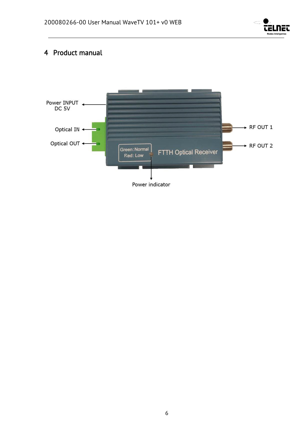

### 4 Product manual

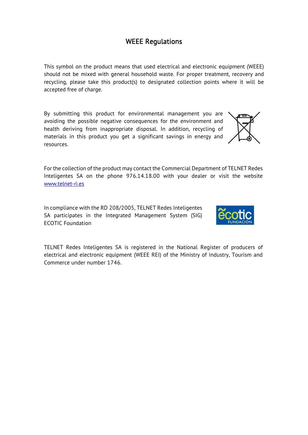### WEEE Regulations

This symbol on the product means that used electrical and electronic equipment (WEEE) should not be mixed with general household waste. For proper treatment, recovery and recycling, please take this product(s) to designated collection points where it will be accepted free of charge.

By submitting this product for environmental management you are avoiding the possible negative consequences for the environment and health deriving from inappropriate disposal. In addition, recycling of materials in this product you get a significant savings in energy and resources.

For the collection of the product may contact the Commercial Department of TELNET Redes Inteligentes SA on the phone 976.14.18.00 with your dealer or visit the website www.telnet-ri.es

In compliance with the RD 208/2005, TELNET Redes Inteligentes SA participates in the Integrated Management System (SIG) ECOTIC Foundation

TELNET Redes Inteligentes SA is registered in the National Register of producers of electrical and electronic equipment (WEEE REI) of the Ministry of Industry, Tourism and Commerce under number 1746.